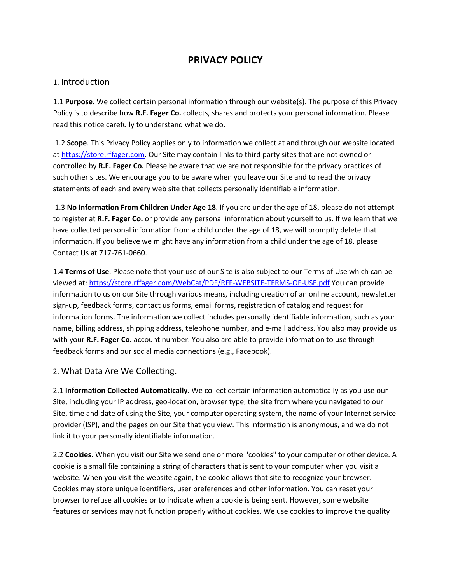## **PRIVACY POLICY**

## 1. Introduction

1.1 **Purpose**. We collect certain personal information through our website(s). The purpose of this Privacy Policy is to describe how **R.F. Fager Co.** collects, shares and protects your personal information. Please read this notice carefully to understand what we do.

1.2 **Scope**. This Privacy Policy applies only to information we collect at and through our website located at [https://store.rffager.com.](https://store.rffager.com/) Our Site may contain links to third party sites that are not owned or controlled by **R.F. Fager Co.** Please be aware that we are not responsible for the privacy practices of such other sites. We encourage you to be aware when you leave our Site and to read the privacy statements of each and every web site that collects personally identifiable information.

1.3 **No Information From Children Under Age 18**. If you are under the age of 18, please do not attempt to register at **R.F. Fager Co.** or provide any personal information about yourself to us. If we learn that we have collected personal information from a child under the age of 18, we will promptly delete that information. If you believe we might have any information from a child under the age of 18, please Contact Us at 717-761-0660.

1.4 **Terms of Use**. Please note that your use of our Site is also subject to our Terms of Use which can be viewed at:<https://store.rffager.com/WebCat/PDF/RFF-WEBSITE-TERMS-OF-USE.pdf> You can provide information to us on our Site through various means, including creation of an online account, newsletter sign-up, feedback forms, contact us forms, email forms, registration of catalog and request for information forms. The information we collect includes personally identifiable information, such as your name, billing address, shipping address, telephone number, and e-mail address. You also may provide us with your **R.F. Fager Co.** account number. You also are able to provide information to use through feedback forms and our social media connections (e.g., Facebook).

## 2. What Data Are We Collecting.

2.1 **Information Collected Automatically**. We collect certain information automatically as you use our Site, including your IP address, geo-location, browser type, the site from where you navigated to our Site, time and date of using the Site, your computer operating system, the name of your Internet service provider (ISP), and the pages on our Site that you view. This information is anonymous, and we do not link it to your personally identifiable information.

2.2 **Cookies**. When you visit our Site we send one or more "cookies" to your computer or other device. A cookie is a small file containing a string of characters that is sent to your computer when you visit a website. When you visit the website again, the cookie allows that site to recognize your browser. Cookies may store unique identifiers, user preferences and other information. You can reset your browser to refuse all cookies or to indicate when a cookie is being sent. However, some website features or services may not function properly without cookies. We use cookies to improve the quality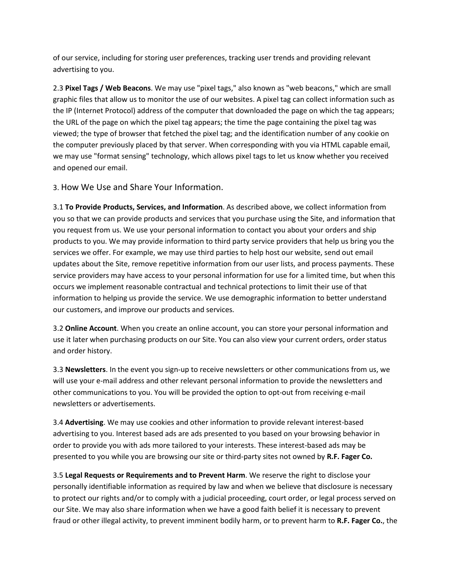of our service, including for storing user preferences, tracking user trends and providing relevant advertising to you.

2.3 **Pixel Tags / Web Beacons**. We may use "pixel tags," also known as "web beacons," which are small graphic files that allow us to monitor the use of our websites. A pixel tag can collect information such as the IP (Internet Protocol) address of the computer that downloaded the page on which the tag appears; the URL of the page on which the pixel tag appears; the time the page containing the pixel tag was viewed; the type of browser that fetched the pixel tag; and the identification number of any cookie on the computer previously placed by that server. When corresponding with you via HTML capable email, we may use "format sensing" technology, which allows pixel tags to let us know whether you received and opened our email.

3. How We Use and Share Your Information.

3.1 **To Provide Products, Services, and Information**. As described above, we collect information from you so that we can provide products and services that you purchase using the Site, and information that you request from us. We use your personal information to contact you about your orders and ship products to you. We may provide information to third party service providers that help us bring you the services we offer. For example, we may use third parties to help host our website, send out email updates about the Site, remove repetitive information from our user lists, and process payments. These service providers may have access to your personal information for use for a limited time, but when this occurs we implement reasonable contractual and technical protections to limit their use of that information to helping us provide the service. We use demographic information to better understand our customers, and improve our products and services.

3.2 **Online Account**. When you create an online account, you can store your personal information and use it later when purchasing products on our Site. You can also view your current orders, order status and order history.

3.3 **Newsletters**. In the event you sign-up to receive newsletters or other communications from us, we will use your e-mail address and other relevant personal information to provide the newsletters and other communications to you. You will be provided the option to opt-out from receiving e-mail newsletters or advertisements.

3.4 **Advertising**. We may use cookies and other information to provide relevant interest-based advertising to you. Interest based ads are ads presented to you based on your browsing behavior in order to provide you with ads more tailored to your interests. These interest-based ads may be presented to you while you are browsing our site or third-party sites not owned by **R.F. Fager Co.**

3.5 **Legal Requests or Requirements and to Prevent Harm**. We reserve the right to disclose your personally identifiable information as required by law and when we believe that disclosure is necessary to protect our rights and/or to comply with a judicial proceeding, court order, or legal process served on our Site. We may also share information when we have a good faith belief it is necessary to prevent fraud or other illegal activity, to prevent imminent bodily harm, or to prevent harm to **R.F. Fager Co.**, the